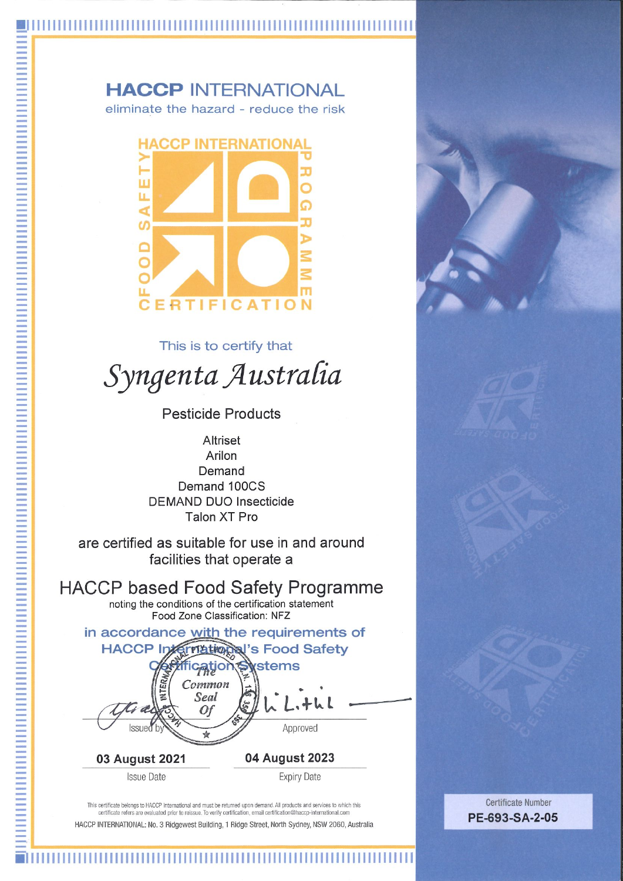#### **HACCP INTERNATIONAL** eliminate the hazard - reduce the risk

**HACCP INTERNATIONAL** п LL. ഗ **IFICATION** 

This is to certify that

# Syngenta Australia

**Pesticide Products** 

**Altriset** Arilon Demand Demand 100CS **DEMAND DUO Insecticide Talon XT Pro** 

are certified as suitable for use in and around facilities that operate a

**HACCP based Food Safety Programme** noting the conditions of the certification statement Food Zone Classification: NFZ

in accordance with the requirements of **HACCP Triational's Food Safety** stems Common Seal 0f Approved

03 August 2021 **Issue Date** 

**Expiry Date** 

04 August 2023

This certificate belongs to HACCP International and must be returned upon demand. All products and services to which this certificate refers are evaluated prior to reissue. To verify certification, email certification@haccp-international.com HACCP INTERNATIONAL: No. 3 Ridgewest Building, 1 Ridge Street, North Sydney, NSW 2060, Australia

埴

**Certificate Number** PE-693-SA-2-05

##